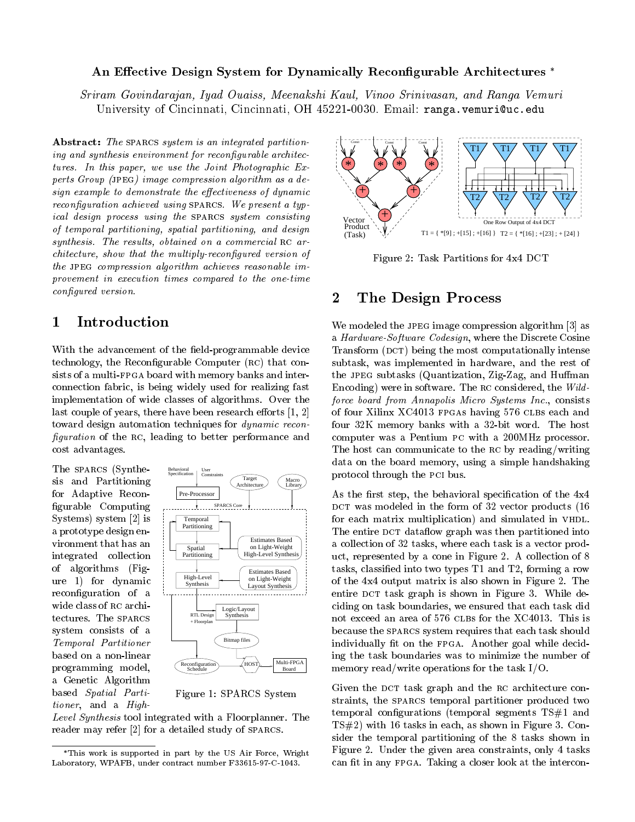### An Effective Design System for Dynamically Reconfigurable Architectures \*

Sriram Govindarajan, Iyad Ouaiss, Meenakshi Kaul, Vinoo Srinivasan, and Ranga Vemuri University of Cincinnati, Cincinnati, OH 45221-0030. Email: ranga.vemuri@uc.edu

Abstract: The SPARCS system is an integrated partitioning and synthesis environment for reconfigurable architectures. In this paper, we use the Joint Photographic Experts Group (jpeg) image compression algorithm as a design example to demonstrate the effectiveness of dynamic reconfiguration achieved using SPARCS. We present a typical design process using the sparcs system consisting of temporal partitioning, spatial partitioning, and design synthesis. The results, obtained on a commercial  $RC$  architecture, show that the multiply-recongured version of the JPEG compression algorithm achieves reasonable improvement in execution times compared to the one-time configured version.

#### 1 Introduction  $\overline{\phantom{0}}$

With the advancement of the field-programmable device technology, the Reconfigurable Computer (RC) that consists of a multi-FPGA board with memory banks and interconnection fabric, is being widely used for realizing fast implementation of wide classes of algorithms. Over the last couple of years, there have been research efforts  $[1, 2]$ toward design automation techniques for dynamic recon figuration of the RC, leading to better performance and cost advantages.

The sparcs (Synthesis and Partitioning for Adaptive Recon figurable Computing Systems) system [2] is a prototype design environment that has an integrated collection of algorithms (Figure 1) for dynamic reconfiguration of a wide class of RC architectures. The SPARCS system consists of a Temporal Partitioner based on a non-linear programming model, a Genetic Algorithm based Spatial Partitioner, and a High-



Figure 1: SPARCS System

Level Synthesis tool integrated with a Floorplanner. The reader may refer [2] for a detailed study of sparcs.



Figure 2: Task Partitions for 4x4 DCT

### 2The Design Process

We modeled the JPEG image compression algorithm [3] as a Hardware-Software Codesign, where the Discrete Cosine Transform (DCT) being the most computationally intense subtask, was implemented in hardware, and the rest of the JPEG subtasks (Quantization, Zig-Zag, and Huffman Encoding) were in software. The rc considered, the Wildforce board from Annapolis Micro Systems Inc., consists of four Xilinx XC4013 FPGAs having 576 CLBs each and four 32K memory banks with a 32-bit word. The host computer was a Pentium pc with a 200MHz processor. The host can communicate to the rc by reading/writing data on the board memory, using a simple handshaking protocol through the pci bus.

As the first step, the behavioral specification of the  $4x4$ DCT was modeled in the form of  $32$  vector products (16 for each matrix multiplication) and simulated in VHDL. The entire DCT dataflow graph was then partitioned into a collection of 32 tasks, where each task is a vector product, represented by a cone in Figure 2. A collection of 8 tasks, classied into two types T1 and T2, forming a row of the 4x4 output matrix is also shown in Figure 2. The entire DCT task graph is shown in Figure 3. While deciding on task boundaries, we ensured that each task did not exceed an area of 576 CLBs for the XC4013. This is because the sparcs system requires that each task should individually fit on the FPGA. Another goal while deciding the task boundaries was to minimize the number of memory read/write operations for the task I/O.

Given the DCT task graph and the RC architecture constraints, the sparcs temporal partitioner produced two temporal configurations (temporal segments  $TS#1$  and TS#2) with 16 tasks in each, as shown in Figure 3. Consider the temporal partitioning of the 8 tasks shown in Figure 2. Under the given area constraints, only 4 tasks can fit in any FPGA. Taking a closer look at the intercon-

This work is supported in part by the US Air Force, Wright Laboratory, WPAFB, under contract number F33615-97-C-1043.